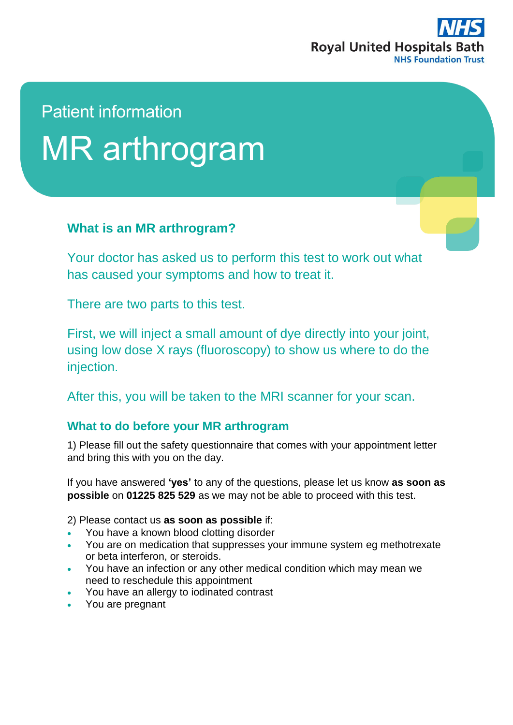

# Patient information MR arthrogram

## **What is an MR arthrogram?**

Your doctor has asked us to perform this test to work out what has caused your symptoms and how to treat it.

There are two parts to this test.

First, we will inject a small amount of dye directly into your joint, using low dose X rays (fluoroscopy) to show us where to do the injection.

After this, you will be taken to the MRI scanner for your scan.

## **What to do before your MR arthrogram**

1) Please fill out the safety questionnaire that comes with your appointment letter and bring this with you on the day.

If you have answered **'yes'** to any of the questions, please let us know **as soon as possible** on **01225 825 529** as we may not be able to proceed with this test.

2) Please contact us **as soon as possible** if:

- You have a known blood clotting disorder
- You are on medication that suppresses your immune system eg methotrexate or beta interferon, or steroids.
- You have an infection or any other medical condition which may mean we need to reschedule this appointment
- You have an allergy to iodinated contrast
- You are pregnant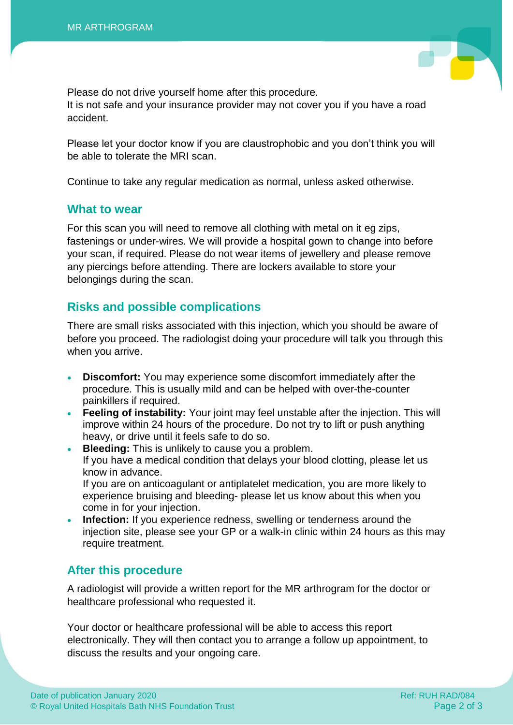Please do not drive yourself home after this procedure. It is not safe and your insurance provider may not cover you if you have a road accident.

Please let your doctor know if you are claustrophobic and you don't think you will be able to tolerate the MRI scan.

Continue to take any regular medication as normal, unless asked otherwise.

#### **What to wear**

For this scan you will need to remove all clothing with metal on it eg zips, fastenings or under-wires. We will provide a hospital gown to change into before your scan, if required. Please do not wear items of jewellery and please remove any piercings before attending. There are lockers available to store your belongings during the scan.

### **Risks and possible complications**

There are small risks associated with this injection, which you should be aware of before you proceed. The radiologist doing your procedure will talk you through this when you arrive.

- **Discomfort:** You may experience some discomfort immediately after the procedure. This is usually mild and can be helped with over-the-counter painkillers if required.
- **Feeling of instability:** Your joint may feel unstable after the injection. This will improve within 24 hours of the procedure. Do not try to lift or push anything heavy, or drive until it feels safe to do so.
- **Bleeding:** This is unlikely to cause you a problem. If you have a medical condition that delays your blood clotting, please let us know in advance. If you are on anticoagulant or antiplatelet medication, you are more likely to experience bruising and bleeding- please let us know about this when you
	- come in for your injection. **Infection:** If you experience redness, swelling or tenderness around the
- injection site, please see your GP or a walk-in clinic within 24 hours as this may require treatment.

### **After this procedure**

A radiologist will provide a written report for the MR arthrogram for the doctor or healthcare professional who requested it.

Your doctor or healthcare professional will be able to access this report electronically. They will then contact you to arrange a follow up appointment, to discuss the results and your ongoing care.